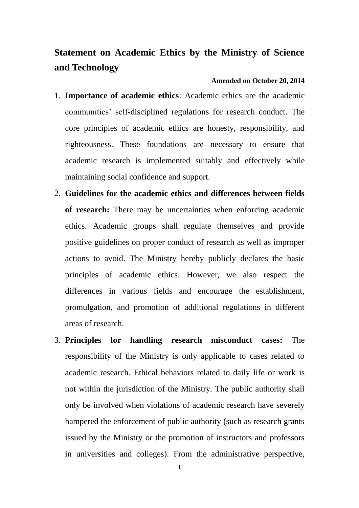## **Statement on Academic Ethics by the Ministry of Science and Technology**

## **Amended on October 20, 2014**

- 1. **Importance of academic ethics**: Academic ethics are the academic communities' self-disciplined regulations for research conduct. The core principles of academic ethics are honesty, responsibility, and righteousness. These foundations are necessary to ensure that academic research is implemented suitably and effectively while maintaining social confidence and support.
- 2. **Guidelines for the academic ethics and differences between fields of research:** There may be uncertainties when enforcing academic ethics. Academic groups shall regulate themselves and provide positive guidelines on proper conduct of research as well as improper actions to avoid. The Ministry hereby publicly declares the basic principles of academic ethics. However, we also respect the differences in various fields and encourage the establishment, promulgation, and promotion of additional regulations in different areas of research.
- 3. **Principles for handling research misconduct cases:** The responsibility of the Ministry is only applicable to cases related to academic research. Ethical behaviors related to daily life or work is not within the jurisdiction of the Ministry. The public authority shall only be involved when violations of academic research have severely hampered the enforcement of public authority (such as research grants issued by the Ministry or the promotion of instructors and professors in universities and colleges). From the administrative perspective,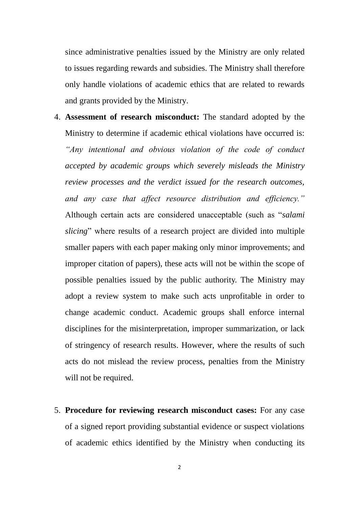since administrative penalties issued by the Ministry are only related to issues regarding rewards and subsidies. The Ministry shall therefore only handle violations of academic ethics that are related to rewards and grants provided by the Ministry.

- 4. **Assessment of research misconduct:** The standard adopted by the Ministry to determine if academic ethical violations have occurred is: *"Any intentional and obvious violation of the code of conduct accepted by academic groups which severely misleads the Ministry review processes and the verdict issued for the research outcomes, and any case that affect resource distribution and efficiency."*  Although certain acts are considered unacceptable (such as "*salami slicing*" where results of a research project are divided into multiple smaller papers with each paper making only minor improvements; and improper citation of papers), these acts will not be within the scope of possible penalties issued by the public authority. The Ministry may adopt a review system to make such acts unprofitable in order to change academic conduct. Academic groups shall enforce internal disciplines for the misinterpretation, improper summarization, or lack of stringency of research results. However, where the results of such acts do not mislead the review process, penalties from the Ministry will not be required.
- 5. **Procedure for reviewing research misconduct cases:** For any case of a signed report providing substantial evidence or suspect violations of academic ethics identified by the Ministry when conducting its